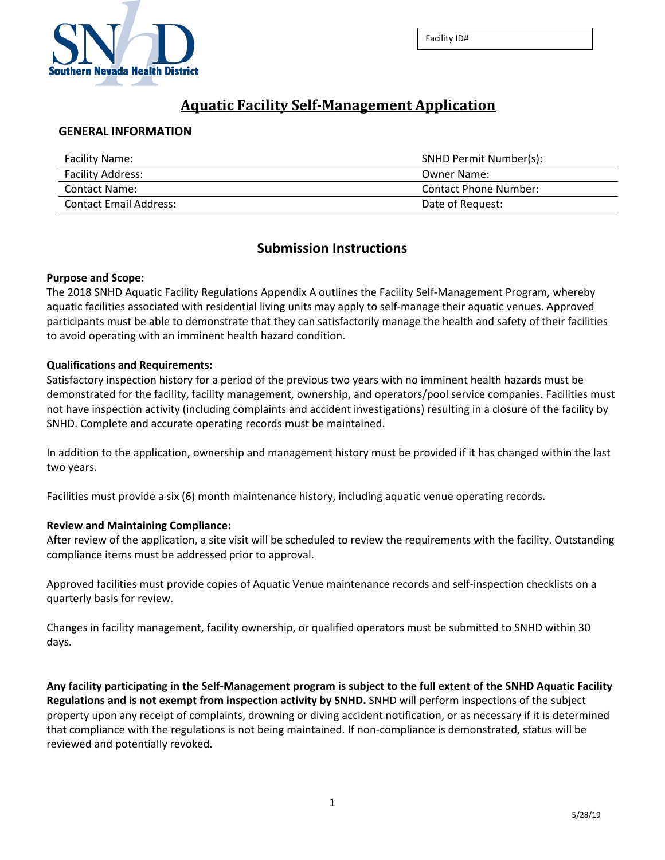

# **Aquatic Facility Self-Management Application**

#### **GENERAL INFORMATION**

| <b>Facility Name:</b>    | SNHD Permit Number(s): |  |
|--------------------------|------------------------|--|
| <b>Facility Address:</b> | Owner Name:            |  |
| <b>Contact Name:</b>     | Contact Phone Number:  |  |
| Contact Email Address:   | Date of Request:       |  |

### **Submission Instructions**

#### **Purpose and Scope:**

The 2018 SNHD Aquatic Facility Regulations Appendix A outlines the Facility Self-Management Program, whereby aquatic facilities associated with residential living units may apply to self-manage their aquatic venues. Approved participants must be able to demonstrate that they can satisfactorily manage the health and safety of their facilities to avoid operating with an imminent health hazard condition.

#### **Qualifications and Requirements:**

Satisfactory inspection history for a period of the previous two years with no imminent health hazards must be demonstrated for the facility, facility management, ownership, and operators/pool service companies. Facilities must not have inspection activity (including complaints and accident investigations) resulting in a closure of the facility by SNHD. Complete and accurate operating records must be maintained.

In addition to the application, ownership and management history must be provided if it has changed within the last two years.

Facilities must provide a six (6) month maintenance history, including aquatic venue operating records.

#### **Review and Maintaining Compliance:**

After review of the application, a site visit will be scheduled to review the requirements with the facility. Outstanding compliance items must be addressed prior to approval.

Approved facilities must provide copies of Aquatic Venue maintenance records and self-inspection checklists on a quarterly basis for review.

Changes in facility management, facility ownership, or qualified operators must be submitted to SNHD within 30 days.

**Any facility participating in the Self-Management program is subject to the full extent of the SNHD Aquatic Facility Regulations and is not exempt from inspection activity by SNHD.** SNHD will perform inspections of the subject property upon any receipt of complaints, drowning or diving accident notification, or as necessary if it is determined that compliance with the regulations is not being maintained. If non-compliance is demonstrated, status will be reviewed and potentially revoked.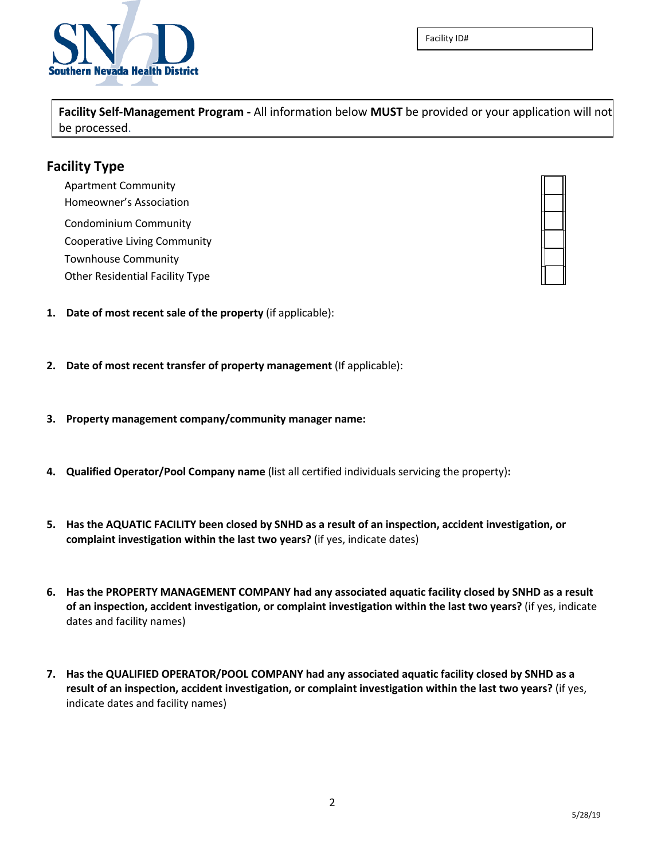

Facility ID#

**Facility Self-Management Program -** All information below **MUST** be provided or your application will not be processed.

### **Facility Type**

Apartment Community Homeowner's Association Condominium Community Cooperative Living Community Townhouse Community Other Residential Facility Type

- **1. Date of most recent sale of the property** (if applicable):
- **2. Date of most recent transfer of property management** (If applicable):
- **3. Property management company/community manager name:**
- **4. Qualified Operator/Pool Company name** (list all certified individuals servicing the property)**:**
- **5. Has the AQUATIC FACILITY been closed by SNHD as a result of an inspection, accident investigation, or complaint investigation within the last two years?** (if yes, indicate dates)
- **6. Has the PROPERTY MANAGEMENT COMPANY had any associated aquatic facility closed by SNHD as a result of an inspection, accident investigation, or complaint investigation within the last two years?** (if yes, indicate dates and facility names)
- **7. Has the QUALIFIED OPERATOR/POOL COMPANY had any associated aquatic facility closed by SNHD as a result of an inspection, accident investigation, or complaint investigation within the last two years?** (if yes, indicate dates and facility names)